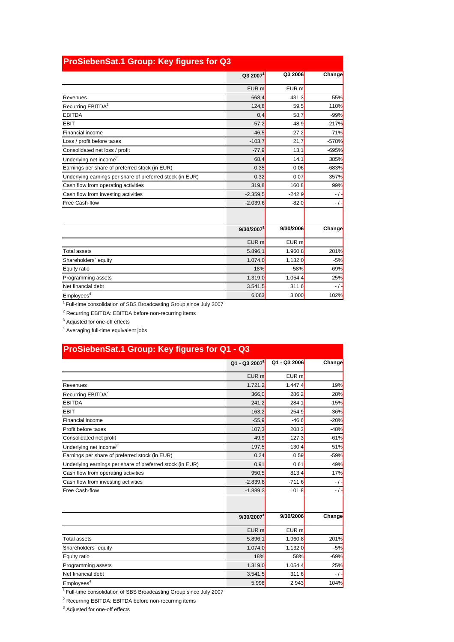| ProSiebenSat.1 Group: Key figures for Q3                  |                     |                    |         |  |
|-----------------------------------------------------------|---------------------|--------------------|---------|--|
|                                                           | Q32007 <sup>1</sup> | Q3 2006            | Change  |  |
|                                                           | EUR m               | $EUR$ <sub>m</sub> |         |  |
| Revenues                                                  | 668.4               | 431.3              | 55%     |  |
| Recurring EBITDA <sup>2</sup>                             | 124,8               | 59.5               | 110%    |  |
| <b>EBITDA</b>                                             | 0,4                 | 58,7               | $-99%$  |  |
| <b>EBIT</b>                                               | $-57,2$             | 48.9               | $-217%$ |  |
| Financial income                                          | $-46.5$             | $-27,2$            | $-71%$  |  |
| Loss / profit before taxes                                | $-103,7$            | 21.7               | $-578%$ |  |
| Consolidated net loss / profit                            | $-77,9$             | 13,1               | $-695%$ |  |
| Underlying net income <sup>3</sup>                        | 68.4                | 14,1               | 385%    |  |
| Earnings per share of preferred stock (in EUR)            | $-0.35$             | 0.06               | $-683%$ |  |
| Underlying earnings per share of preferred stock (in EUR) | 0,32                | 0.07               | 357%    |  |
| Cash flow from operating activities                       | 319,8               | 160,8              | 99%     |  |
| Cash flow from investing activities                       | $-2.359.5$          | $-242.9$           | $-1$ -  |  |
| Free Cash-flow                                            | $-2.039.6$          | $-82,0$            | $-1$ .  |  |
|                                                           |                     |                    |         |  |
|                                                           | 9/30/2007           | 9/30/2006          | Change  |  |
|                                                           | EUR <sub>m</sub>    | EUR <sub>m</sub>   |         |  |
| <b>Total assets</b>                                       | 5.896,1             | 1.960,8            | 201%    |  |
| Shareholders' equity                                      | 1.074,0             | 1.132,0            | $-5%$   |  |
| Equity ratio                                              | 18%                 | 58%                | $-69%$  |  |
| Programming assets                                        | 1.319,0             | 1.054,4            | 25%     |  |
| Net financial debt                                        | 3.541,5             | 311,6              | $-1$    |  |
| Employees <sup>4</sup>                                    | 6.063               | 3.000              | 102%    |  |

<sup>1</sup> Full-time consolidation of SBS Broadcasting Group since July 2007<br><sup>2</sup> Recurring EBITDA: EBITDA before non-recurring items

<sup>3</sup> Adjusted for one-off effects

<sup>4</sup> Averaging full-time equivalent jobs

## **ProSiebenSat.1 Group: Key figures for Q1 - Q3**

|                                                           | $Q1 - Q3 20071$  | Q1 - Q3 2006       | Change |
|-----------------------------------------------------------|------------------|--------------------|--------|
|                                                           | EUR <sub>m</sub> | EUR m              |        |
| Revenues                                                  | 1.721,2          | 1.447,4            | 19%    |
| Recurring EBITDA <sup>2</sup>                             | 366,0            | 286,2              | 28%    |
| <b>EBITDA</b>                                             | 241,2            | 284,1              | $-15%$ |
| <b>EBIT</b>                                               | 163,2            | 254,9              | $-36%$ |
| Financial income                                          | $-55,9$          | $-46,6$            | $-20%$ |
| Profit before taxes                                       | 107,3            | 208,3              | $-48%$ |
| Consolidated net profit                                   | 49,9             | 127,3              | $-61%$ |
| Underlying net income <sup>3</sup>                        | 197,5            | 130,4              | 51%    |
| Earnings per share of preferred stock (in EUR)            | 0,24             | 0,59               | $-59%$ |
| Underlying earnings per share of preferred stock (in EUR) | 0,91             | 0,61               | 49%    |
| Cash flow from operating activities                       | 950,5            | 813,4              | 17%    |
| Cash flow from investing activities                       | $-2.839.8$       | $-711.6$           | $-1$   |
| Free Cash-flow                                            | $-1.889.3$       | 101.8              | $-1$   |
|                                                           | 9/30/2007        | 9/30/2006          | Change |
|                                                           | EUR <sub>m</sub> | $EUR$ <sub>m</sub> |        |
| <b>Total assets</b>                                       | 5.896,1          | 1.960.8            | 201%   |
|                                                           | 1.074,0          | 1.132,0            | $-5%$  |
| Shareholders' equity                                      |                  |                    |        |
| Equity ratio                                              | 18%              | 58%                | $-69%$ |
| Programming assets                                        | 1.319,0          | 1.054,4            | 25%    |
| Net financial debt                                        | 3.541,5          | 311,6              | $-1$   |
| Employees <sup>4</sup>                                    | 5.996            | 2.943              | 104%   |

1 Full-time consolidation of SBS Broadcasting Group since July 2007

<sup>2</sup> Recurring EBITDA: EBITDA before non-recurring items

<sup>3</sup> Adjusted for one-off effects